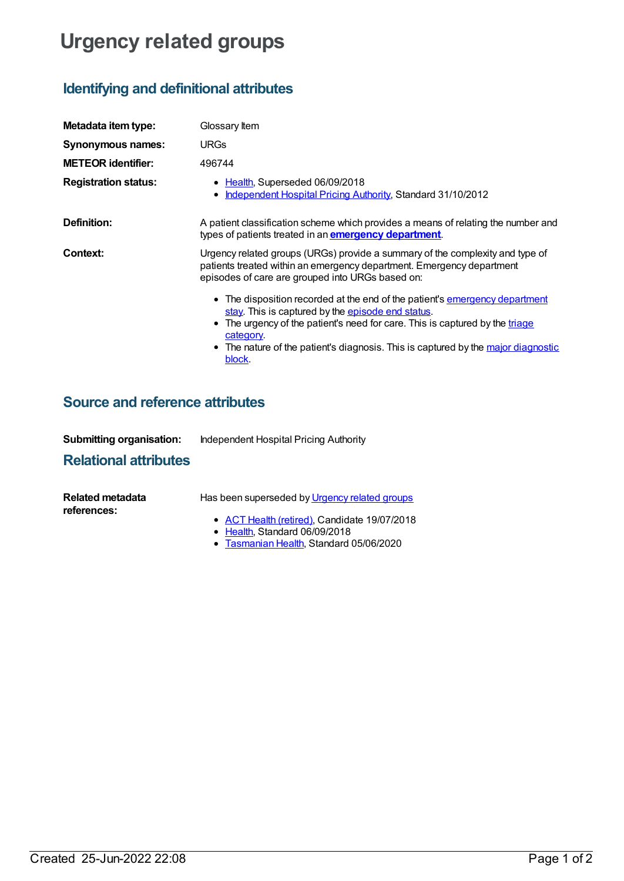# **Urgency related groups**

## **Identifying and definitional attributes**

| Metadata item type:         | Glossary Item                                                                                                                                                                                                                                                                                                                |
|-----------------------------|------------------------------------------------------------------------------------------------------------------------------------------------------------------------------------------------------------------------------------------------------------------------------------------------------------------------------|
| Synonymous names:           | <b>URGs</b>                                                                                                                                                                                                                                                                                                                  |
| <b>METEOR identifier:</b>   | 496744                                                                                                                                                                                                                                                                                                                       |
| <b>Registration status:</b> | • Health, Superseded 06/09/2018<br>Independent Hospital Pricing Authority, Standard 31/10/2012                                                                                                                                                                                                                               |
| Definition:                 | A patient classification scheme which provides a means of relating the number and<br>types of patients treated in an <b>emergency department</b> .                                                                                                                                                                           |
| Context:                    | Urgency related groups (URGs) provide a summary of the complexity and type of<br>patients treated within an emergency department. Emergency department<br>episodes of care are grouped into URGs based on:                                                                                                                   |
|                             | • The disposition recorded at the end of the patient's emergency department<br>stay. This is captured by the episode end status.<br>• The urgency of the patient's need for care. This is captured by the triage<br>category.<br>• The nature of the patient's diagnosis. This is captured by the major diagnostic<br>block. |

### **Source and reference attributes**

| <b>Submitting organisation:</b> | Independent Hospital Pricing Authority |
|---------------------------------|----------------------------------------|
|---------------------------------|----------------------------------------|

### **Relational attributes**

| Related metadata | Has been superseded by Urgency related groups                                         |
|------------------|---------------------------------------------------------------------------------------|
| references:      | • ACT Health (retired). Candidate 19/07/2018<br>$\bullet$ Health. Standard 06/09/2018 |

**[Tasmanian](https://meteor.aihw.gov.au/RegistrationAuthority/15) Health, Standard 05/06/2020**